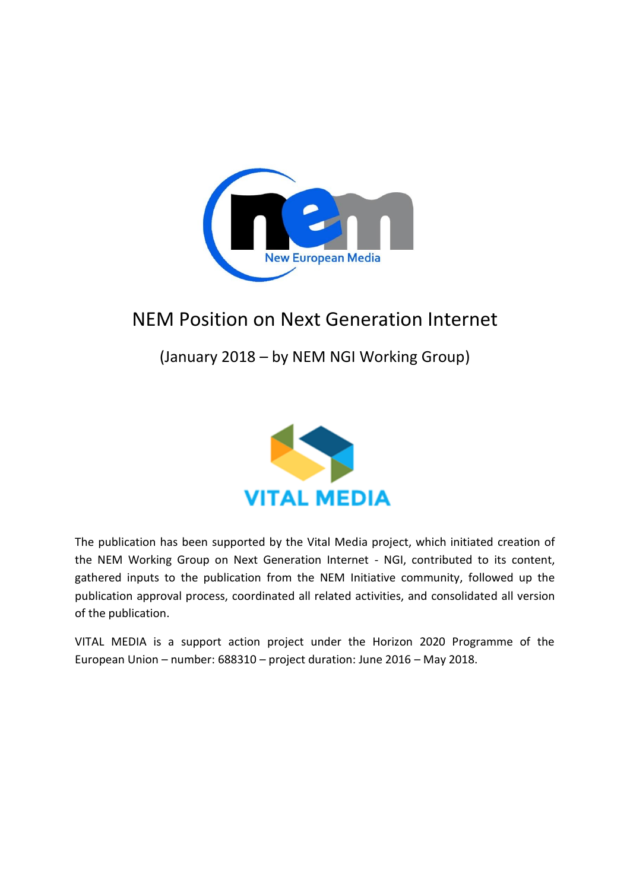

# (January 2018 – by NEM NGI Working Group)



The publication has been supported by the Vital Media project, which initiated creation of the NEM Working Group on Next Generation Internet - NGI, contributed to its content, gathered inputs to the publication from the NEM Initiative community, followed up the publication approval process, coordinated all related activities, and consolidated all version of the publication.

VITAL MEDIA is a support action project under the Horizon 2020 Programme of the European Union – number: 688310 – project duration: June 2016 – May 2018.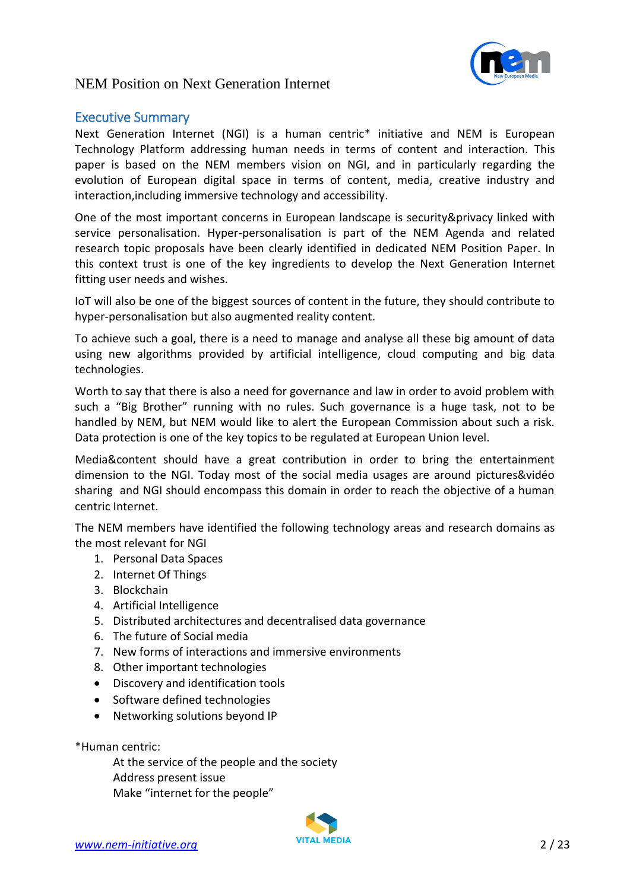

#### <span id="page-1-0"></span>Executive Summary

Next Generation Internet (NGI) is a human centric\* initiative and NEM is European Technology Platform addressing human needs in terms of content and interaction. This paper is based on the NEM members vision on NGI, and in particularly regarding the evolution of European digital space in terms of content, media, creative industry and interaction,including immersive technology and accessibility.

One of the most important concerns in European landscape is security&privacy linked with service personalisation. Hyper-personalisation is part of the NEM Agenda and related research topic proposals have been clearly identified in dedicated NEM Position Paper. In this context trust is one of the key ingredients to develop the Next Generation Internet fitting user needs and wishes.

IoT will also be one of the biggest sources of content in the future, they should contribute to hyper-personalisation but also augmented reality content.

To achieve such a goal, there is a need to manage and analyse all these big amount of data using new algorithms provided by artificial intelligence, cloud computing and big data technologies.

Worth to say that there is also a need for governance and law in order to avoid problem with such a "Big Brother" running with no rules. Such governance is a huge task, not to be handled by NEM, but NEM would like to alert the European Commission about such a risk. Data protection is one of the key topics to be regulated at European Union level.

Media&content should have a great contribution in order to bring the entertainment dimension to the NGI. Today most of the social media usages are around pictures&vidéo sharing and NGI should encompass this domain in order to reach the objective of a human centric Internet.

The NEM members have identified the following technology areas and research domains as the most relevant for NGI

- 1. Personal Data Spaces
- 2. Internet Of Things
- 3. Blockchain
- 4. Artificial Intelligence
- 5. Distributed architectures and decentralised data governance
- 6. The future of Social media
- 7. New forms of interactions and immersive environments
- 8. Other important technologies
- Discovery and identification tools
- Software defined technologies
- Networking solutions beyond IP

\*Human centric:

At the service of the people and the society Address present issue Make "internet for the people"

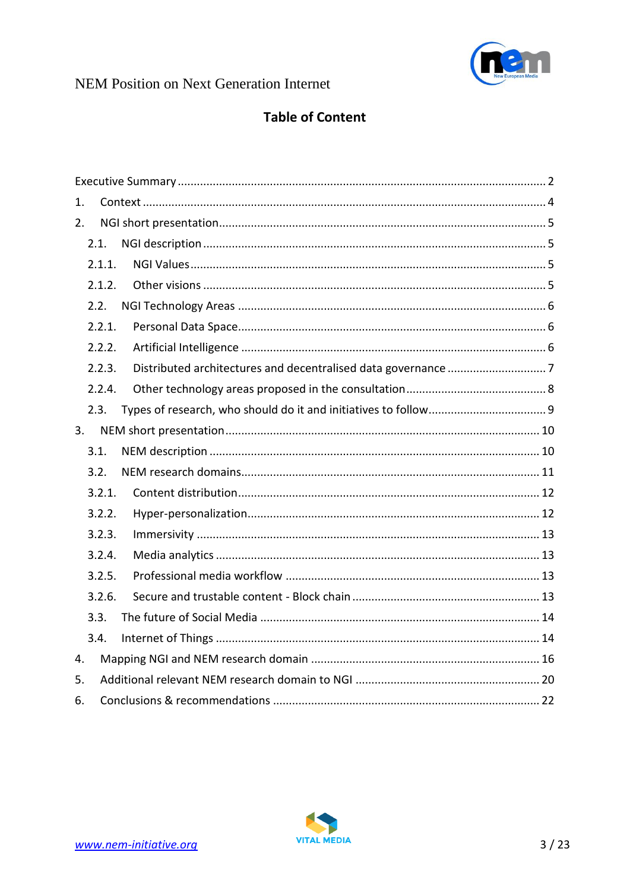

# **Table of Content**

| 1. |        |  |  |
|----|--------|--|--|
| 2. |        |  |  |
|    | 2.1.   |  |  |
|    | 2.1.1. |  |  |
|    | 2.1.2. |  |  |
|    | 2.2.   |  |  |
|    | 2.2.1. |  |  |
|    | 2.2.2. |  |  |
|    | 2.2.3. |  |  |
|    | 2.2.4. |  |  |
|    | 2.3.   |  |  |
| 3. |        |  |  |
|    | 3.1.   |  |  |
|    | 3.2.   |  |  |
|    | 3.2.1. |  |  |
|    | 3.2.2. |  |  |
|    | 3.2.3. |  |  |
|    | 3.2.4. |  |  |
|    | 3.2.5. |  |  |
|    | 3.2.6. |  |  |
|    | 3.3.   |  |  |
|    | 3.4.   |  |  |
| 4. |        |  |  |
| 5. |        |  |  |
| 6. |        |  |  |

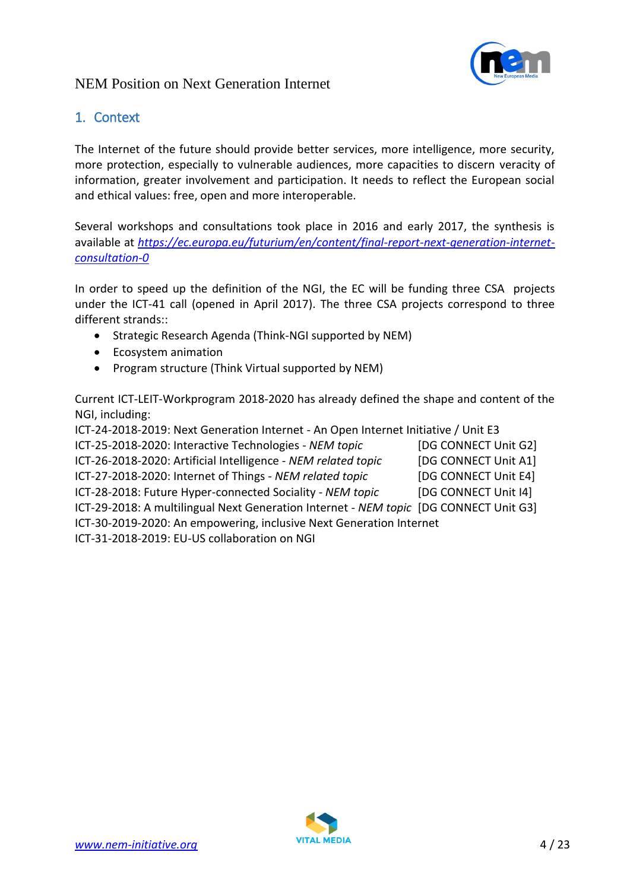

### <span id="page-3-0"></span>1. Context

The Internet of the future should provide better services, more intelligence, more security, more protection, especially to vulnerable audiences, more capacities to discern veracity of information, greater involvement and participation. It needs to reflect the European social and ethical values: free, open and more interoperable.

Several workshops and consultations took place in 2016 and early 2017, the synthesis is available at *[https://ec.europa.eu/futurium/en/content/final-report-next-generation-internet](https://ec.europa.eu/futurium/en/content/final-report-next-generation-internet-consultation-0)[consultation-0](https://ec.europa.eu/futurium/en/content/final-report-next-generation-internet-consultation-0)*

In order to speed up the definition of the NGI, the EC will be funding three CSA projects under the ICT-41 call (opened in April 2017). The three CSA projects correspond to three different strands::

- Strategic Research Agenda (Think-NGI supported by NEM)
- Ecosystem animation
- Program structure (Think Virtual supported by NEM)

Current ICT-LEIT-Workprogram 2018-2020 has already defined the shape and content of the NGI, including:

ICT-24-2018-2019: Next Generation Internet - An Open Internet Initiative / Unit E3 ICT-25-2018-2020: Interactive Technologies - *NEM topic* [DG CONNECT Unit G2] ICT-26-2018-2020: Artificial Intelligence - *NEM related topic* [DG CONNECT Unit A1] ICT-27-2018-2020: Internet of Things - *NEM related topic* [DG CONNECT Unit E4] ICT-28-2018: Future Hyper-connected Sociality - *NEM topic* [DG CONNECT Unit I4] ICT-29-2018: A multilingual Next Generation Internet - *NEM topic* [DG CONNECT Unit G3] ICT-30-2019-2020: An empowering, inclusive Next Generation Internet ICT-31-2018-2019: EU-US collaboration on NGI

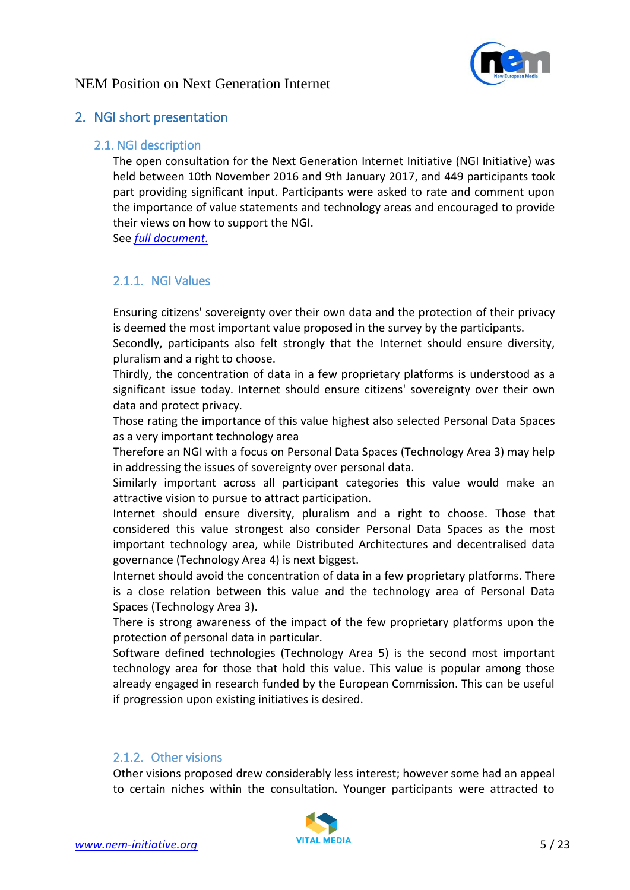

### <span id="page-4-1"></span><span id="page-4-0"></span>2. NGI short presentation

#### 2.1. NGI description

The open consultation for the Next Generation Internet Initiative (NGI Initiative) was held between 10th November 2016 and 9th January 2017, and 449 participants took part providing significant input. Participants were asked to rate and comment upon the importance of value statements and technology areas and encouraged to provide their views on how to support the NGI.

See *[full document.](https://ec.europa.eu/futurium/en/system/files/ged/ec_ngi_final_report_1.pdf)*

### <span id="page-4-2"></span>2.1.1. NGI Values

Ensuring citizens' sovereignty over their own data and the protection of their privacy is deemed the most important value proposed in the survey by the participants.

Secondly, participants also felt strongly that the Internet should ensure diversity, pluralism and a right to choose.

Thirdly, the concentration of data in a few proprietary platforms is understood as a significant issue today. Internet should ensure citizens' sovereignty over their own data and protect privacy.

Those rating the importance of this value highest also selected Personal Data Spaces as a very important technology area

Therefore an NGI with a focus on Personal Data Spaces (Technology Area 3) may help in addressing the issues of sovereignty over personal data.

Similarly important across all participant categories this value would make an attractive vision to pursue to attract participation.

Internet should ensure diversity, pluralism and a right to choose. Those that considered this value strongest also consider Personal Data Spaces as the most important technology area, while Distributed Architectures and decentralised data governance (Technology Area 4) is next biggest.

Internet should avoid the concentration of data in a few proprietary platforms. There is a close relation between this value and the technology area of Personal Data Spaces (Technology Area 3).

There is strong awareness of the impact of the few proprietary platforms upon the protection of personal data in particular.

Software defined technologies (Technology Area 5) is the second most important technology area for those that hold this value. This value is popular among those already engaged in research funded by the European Commission. This can be useful if progression upon existing initiatives is desired.

#### <span id="page-4-3"></span>2.1.2. Other visions

Other visions proposed drew considerably less interest; however some had an appeal to certain niches within the consultation. Younger participants were attracted to

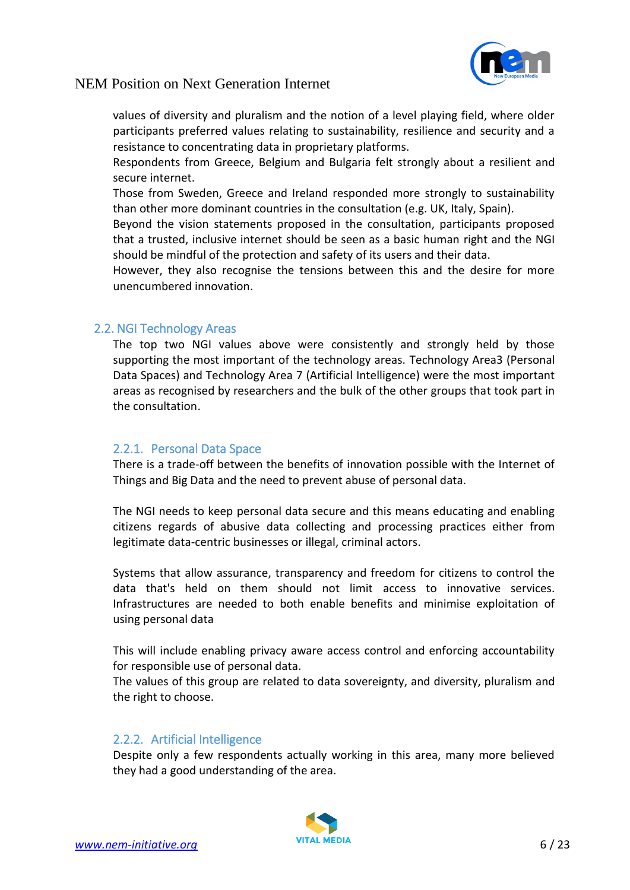

values of diversity and pluralism and the notion of a level playing field, where older participants preferred values relating to sustainability, resilience and security and a resistance to concentrating data in proprietary platforms.

Respondents from Greece, Belgium and Bulgaria felt strongly about a resilient and secure internet.

Those from Sweden, Greece and Ireland responded more strongly to sustainability than other more dominant countries in the consultation (e.g. UK, Italy, Spain).

Beyond the vision statements proposed in the consultation, participants proposed that a trusted, inclusive internet should be seen as a basic human right and the NGI should be mindful of the protection and safety of its users and their data.

However, they also recognise the tensions between this and the desire for more unencumbered innovation.

#### <span id="page-5-0"></span>2.2. NGI Technology Areas

The top two NGI values above were consistently and strongly held by those supporting the most important of the technology areas. Technology Area3 (Personal Data Spaces) and Technology Area 7 (Artificial Intelligence) were the most important areas as recognised by researchers and the bulk of the other groups that took part in the consultation.

#### <span id="page-5-1"></span>2.2.1. Personal Data Space

There is a trade-off between the benefits of innovation possible with the Internet of Things and Big Data and the need to prevent abuse of personal data.

The NGI needs to keep personal data secure and this means educating and enabling citizens regards of abusive data collecting and processing practices either from legitimate data-centric businesses or illegal, criminal actors.

Systems that allow assurance, transparency and freedom for citizens to control the data that's held on them should not limit access to innovative services. Infrastructures are needed to both enable benefits and minimise exploitation of using personal data

This will include enabling privacy aware access control and enforcing accountability for responsible use of personal data.

The values of this group are related to data sovereignty, and diversity, pluralism and the right to choose.

#### <span id="page-5-2"></span>2.2.2. Artificial Intelligence

Despite only a few respondents actually working in this area, many more believed they had a good understanding of the area.

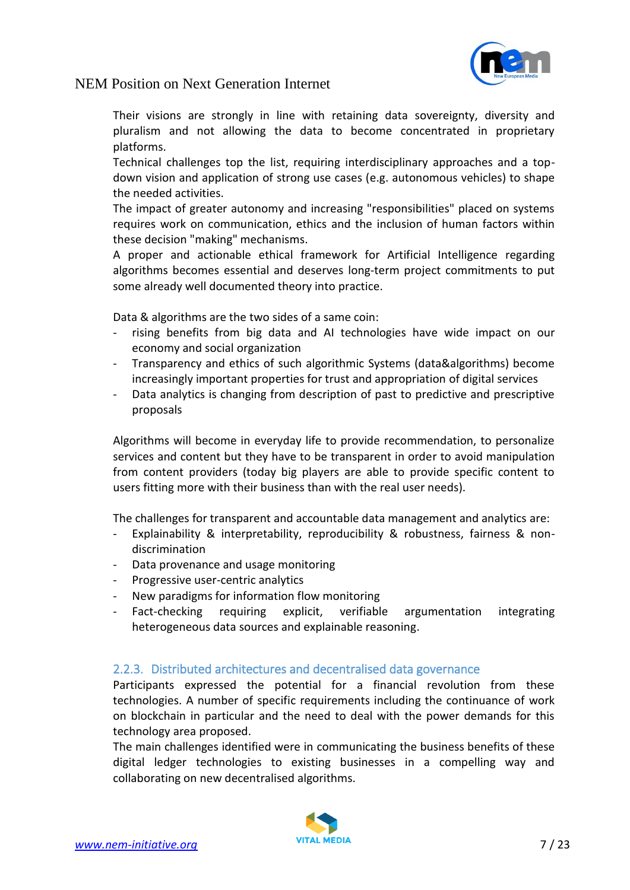

Their visions are strongly in line with retaining data sovereignty, diversity and pluralism and not allowing the data to become concentrated in proprietary platforms.

Technical challenges top the list, requiring interdisciplinary approaches and a topdown vision and application of strong use cases (e.g. autonomous vehicles) to shape the needed activities.

The impact of greater autonomy and increasing "responsibilities" placed on systems requires work on communication, ethics and the inclusion of human factors within these decision "making" mechanisms.

A proper and actionable ethical framework for Artificial Intelligence regarding algorithms becomes essential and deserves long-term project commitments to put some already well documented theory into practice.

Data & algorithms are the two sides of a same coin:

- rising benefits from big data and AI technologies have wide impact on our economy and social organization
- Transparency and ethics of such algorithmic Systems (data&algorithms) become increasingly important properties for trust and appropriation of digital services
- Data analytics is changing from description of past to predictive and prescriptive proposals

Algorithms will become in everyday life to provide recommendation, to personalize services and content but they have to be transparent in order to avoid manipulation from content providers (today big players are able to provide specific content to users fitting more with their business than with the real user needs).

The challenges for transparent and accountable data management and analytics are:

- Explainability & interpretability, reproducibility & robustness, fairness & nondiscrimination
- Data provenance and usage monitoring
- Progressive user-centric analytics
- New paradigms for information flow monitoring
- Fact-checking requiring explicit, verifiable argumentation integrating heterogeneous data sources and explainable reasoning.

#### <span id="page-6-0"></span>2.2.3. Distributed architectures and decentralised data governance

Participants expressed the potential for a financial revolution from these technologies. A number of specific requirements including the continuance of work on blockchain in particular and the need to deal with the power demands for this technology area proposed.

The main challenges identified were in communicating the business benefits of these digital ledger technologies to existing businesses in a compelling way and collaborating on new decentralised algorithms.

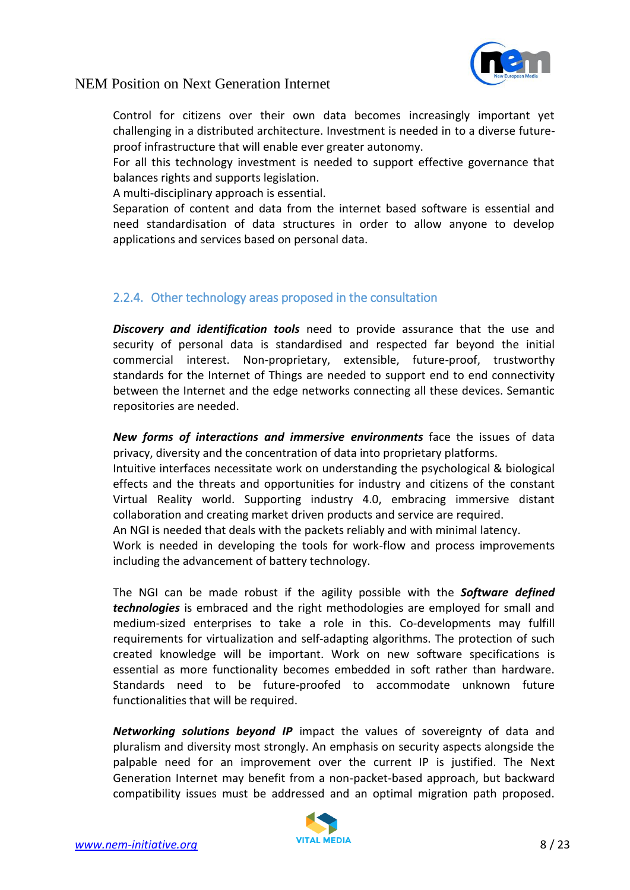

Control for citizens over their own data becomes increasingly important yet challenging in a distributed architecture. Investment is needed in to a diverse futureproof infrastructure that will enable ever greater autonomy.

For all this technology investment is needed to support effective governance that balances rights and supports legislation.

A multi-disciplinary approach is essential.

Separation of content and data from the internet based software is essential and need standardisation of data structures in order to allow anyone to develop applications and services based on personal data.

### <span id="page-7-0"></span>2.2.4. Other technology areas proposed in the consultation

*Discovery and identification tools* need to provide assurance that the use and security of personal data is standardised and respected far beyond the initial commercial interest. Non-proprietary, extensible, future-proof, trustworthy standards for the Internet of Things are needed to support end to end connectivity between the Internet and the edge networks connecting all these devices. Semantic repositories are needed.

*New forms of interactions and immersive environments* face the issues of data privacy, diversity and the concentration of data into proprietary platforms.

Intuitive interfaces necessitate work on understanding the psychological & biological effects and the threats and opportunities for industry and citizens of the constant Virtual Reality world. Supporting industry 4.0, embracing immersive distant collaboration and creating market driven products and service are required.

An NGI is needed that deals with the packets reliably and with minimal latency.

Work is needed in developing the tools for work-flow and process improvements including the advancement of battery technology.

The NGI can be made robust if the agility possible with the *Software defined technologies* is embraced and the right methodologies are employed for small and medium-sized enterprises to take a role in this. Co-developments may fulfill requirements for virtualization and self-adapting algorithms. The protection of such created knowledge will be important. Work on new software specifications is essential as more functionality becomes embedded in soft rather than hardware. Standards need to be future-proofed to accommodate unknown future functionalities that will be required.

*Networking solutions beyond IP* impact the values of sovereignty of data and pluralism and diversity most strongly. An emphasis on security aspects alongside the palpable need for an improvement over the current IP is justified. The Next Generation Internet may benefit from a non-packet-based approach, but backward compatibility issues must be addressed and an optimal migration path proposed.

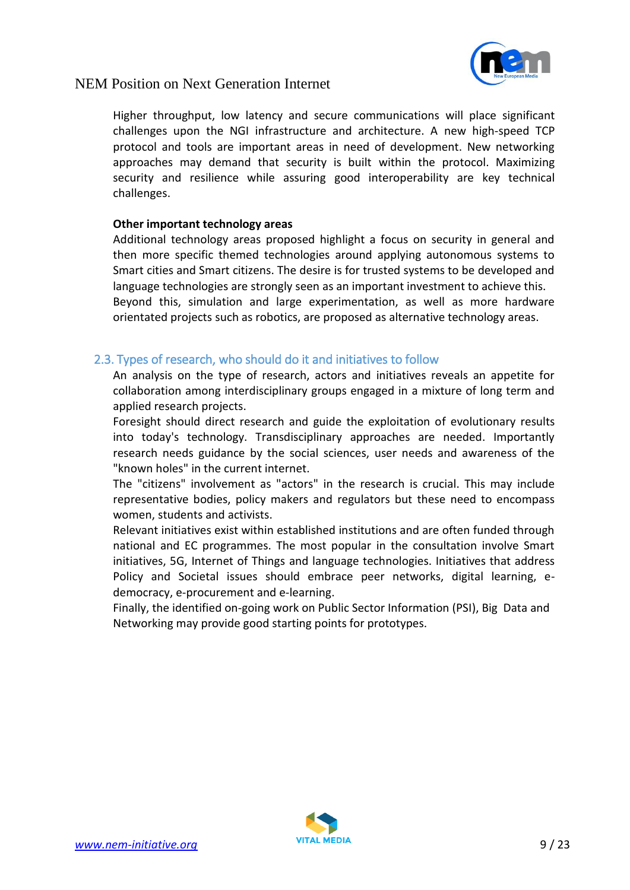

Higher throughput, low latency and secure communications will place significant challenges upon the NGI infrastructure and architecture. A new high-speed TCP protocol and tools are important areas in need of development. New networking approaches may demand that security is built within the protocol. Maximizing security and resilience while assuring good interoperability are key technical challenges.

#### **Other important technology areas**

Additional technology areas proposed highlight a focus on security in general and then more specific themed technologies around applying autonomous systems to Smart cities and Smart citizens. The desire is for trusted systems to be developed and language technologies are strongly seen as an important investment to achieve this. Beyond this, simulation and large experimentation, as well as more hardware orientated projects such as robotics, are proposed as alternative technology areas.

#### <span id="page-8-0"></span>2.3. Types of research, who should do it and initiatives to follow

An analysis on the type of research, actors and initiatives reveals an appetite for collaboration among interdisciplinary groups engaged in a mixture of long term and applied research projects.

Foresight should direct research and guide the exploitation of evolutionary results into today's technology. Transdisciplinary approaches are needed. Importantly research needs guidance by the social sciences, user needs and awareness of the "known holes" in the current internet.

The "citizens" involvement as "actors" in the research is crucial. This may include representative bodies, policy makers and regulators but these need to encompass women, students and activists.

Relevant initiatives exist within established institutions and are often funded through national and EC programmes. The most popular in the consultation involve Smart initiatives, 5G, Internet of Things and language technologies. Initiatives that address Policy and Societal issues should embrace peer networks, digital learning, edemocracy, e-procurement and e-learning.

Finally, the identified on-going work on Public Sector Information (PSI), Big Data and Networking may provide good starting points for prototypes.

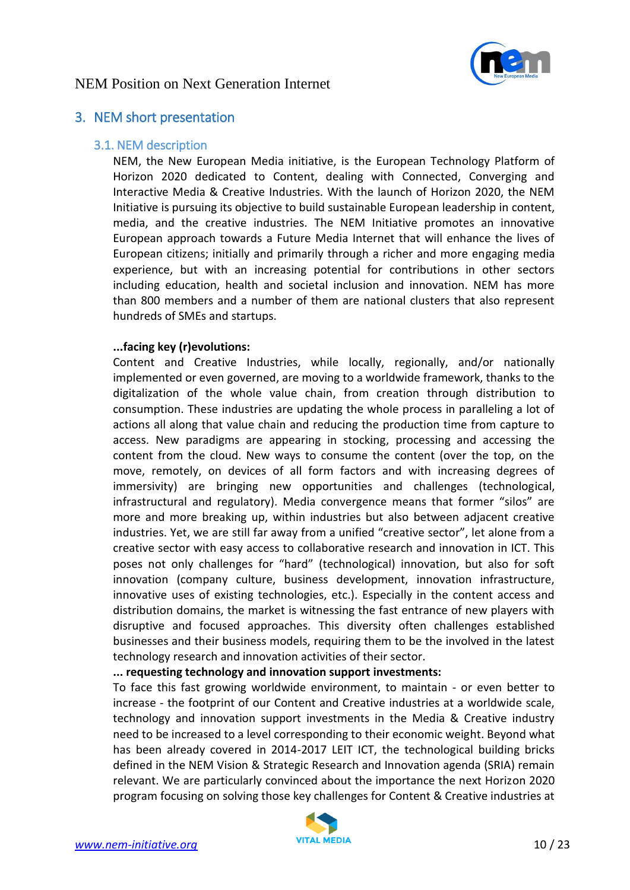

### <span id="page-9-1"></span><span id="page-9-0"></span>3. NEM short presentation

#### 3.1. NEM description

NEM, the New European Media initiative, is the European Technology Platform of Horizon 2020 dedicated to Content, dealing with Connected, Converging and Interactive Media & Creative Industries. With the launch of Horizon 2020, the NEM Initiative is pursuing its objective to build sustainable European leadership in content, media, and the creative industries. The NEM Initiative promotes an innovative European approach towards a Future Media Internet that will enhance the lives of European citizens; initially and primarily through a richer and more engaging media experience, but with an increasing potential for contributions in other sectors including education, health and societal inclusion and innovation. NEM has more than 800 members and a number of them are national clusters that also represent hundreds of SMEs and startups.

#### **...facing key (r)evolutions:**

Content and Creative Industries, while locally, regionally, and/or nationally implemented or even governed, are moving to a worldwide framework, thanks to the digitalization of the whole value chain, from creation through distribution to consumption. These industries are updating the whole process in paralleling a lot of actions all along that value chain and reducing the production time from capture to access. New paradigms are appearing in stocking, processing and accessing the content from the cloud. New ways to consume the content (over the top, on the move, remotely, on devices of all form factors and with increasing degrees of immersivity) are bringing new opportunities and challenges (technological, infrastructural and regulatory). Media convergence means that former "silos" are more and more breaking up, within industries but also between adjacent creative industries. Yet, we are still far away from a unified "creative sector", let alone from a creative sector with easy access to collaborative research and innovation in ICT. This poses not only challenges for "hard" (technological) innovation, but also for soft innovation (company culture, business development, innovation infrastructure, innovative uses of existing technologies, etc.). Especially in the content access and distribution domains, the market is witnessing the fast entrance of new players with disruptive and focused approaches. This diversity often challenges established businesses and their business models, requiring them to be the involved in the latest technology research and innovation activities of their sector.

**... requesting technology and innovation support investments:**

To face this fast growing worldwide environment, to maintain - or even better to increase - the footprint of our Content and Creative industries at a worldwide scale, technology and innovation support investments in the Media & Creative industry need to be increased to a level corresponding to their economic weight. Beyond what has been already covered in 2014-2017 LEIT ICT, the technological building bricks defined in the NEM Vision & Strategic Research and Innovation agenda (SRIA) remain relevant. We are particularly convinced about the importance the next Horizon 2020 program focusing on solving those key challenges for Content & Creative industries at

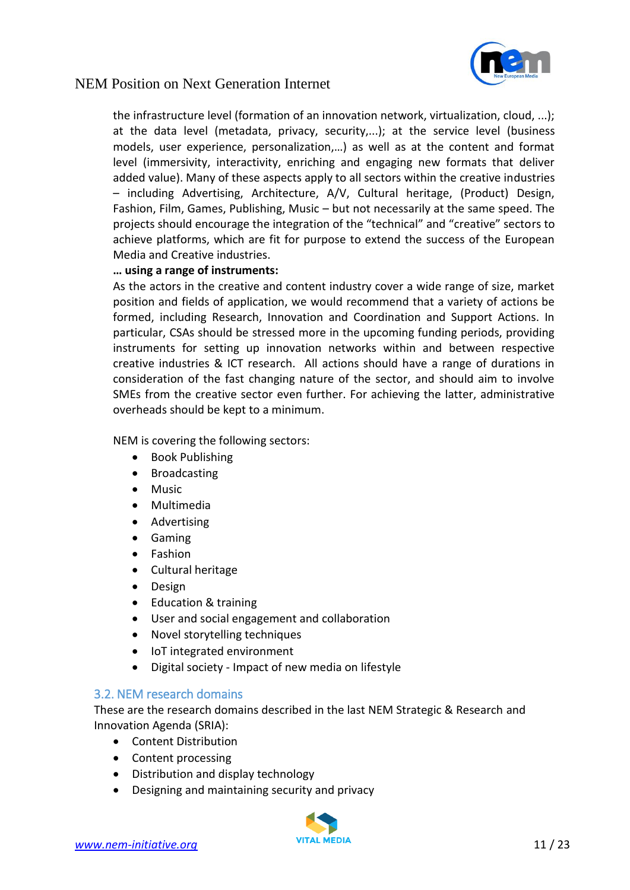

the infrastructure level (formation of an innovation network, virtualization, cloud, ...); at the data level (metadata, privacy, security,...); at the service level (business models, user experience, personalization,…) as well as at the content and format level (immersivity, interactivity, enriching and engaging new formats that deliver added value). Many of these aspects apply to all sectors within the creative industries – including Advertising, Architecture, A/V, Cultural heritage, (Product) Design, Fashion, Film, Games, Publishing, Music – but not necessarily at the same speed. The projects should encourage the integration of the "technical" and "creative" sectors to achieve platforms, which are fit for purpose to extend the success of the European Media and Creative industries.

#### **… using a range of instruments:**

As the actors in the creative and content industry cover a wide range of size, market position and fields of application, we would recommend that a variety of actions be formed, including Research, Innovation and Coordination and Support Actions. In particular, CSAs should be stressed more in the upcoming funding periods, providing instruments for setting up innovation networks within and between respective creative industries & ICT research. All actions should have a range of durations in consideration of the fast changing nature of the sector, and should aim to involve SMEs from the creative sector even further. For achieving the latter, administrative overheads should be kept to a minimum.

NEM is covering the following sectors:

- Book Publishing
- Broadcasting
- Music
- Multimedia
- Advertising
- Gaming
- Fashion
- Cultural heritage
- Design
- Education & training
- User and social engagement and collaboration
- Novel storytelling techniques
- IoT integrated environment
- Digital society Impact of new media on lifestyle

#### <span id="page-10-0"></span>3.2. NEM research domains

These are the research domains described in the last NEM Strategic & Research and Innovation Agenda (SRIA):

- Content Distribution
- Content processing
- Distribution and display technology
- Designing and maintaining security and privacy

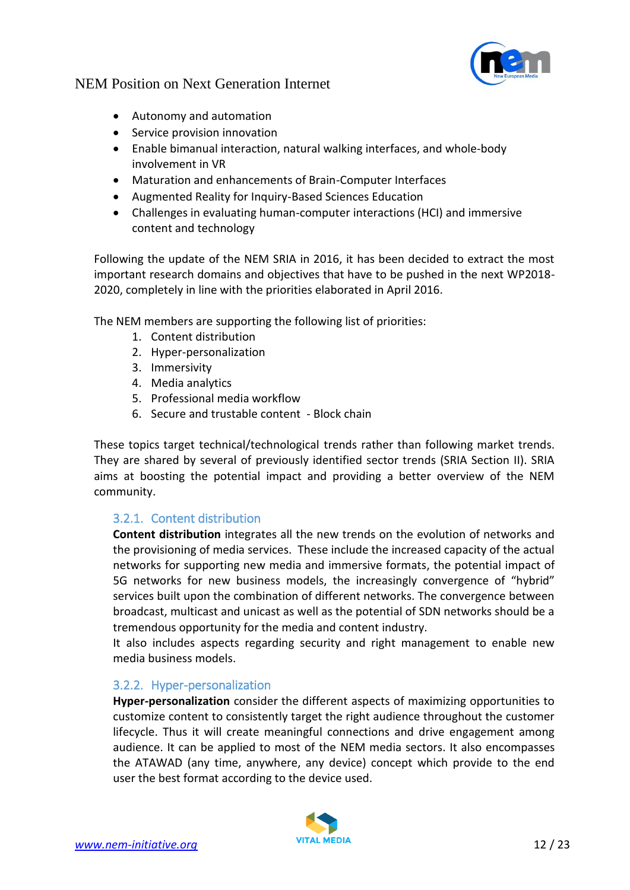

- Autonomy and automation
- Service provision innovation
- Enable bimanual interaction, natural walking interfaces, and whole-body involvement in VR
- Maturation and enhancements of Brain-Computer Interfaces
- Augmented Reality for Inquiry-Based Sciences Education
- Challenges in evaluating human-computer interactions (HCI) and immersive content and technology

Following the update of the NEM SRIA in 2016, it has been decided to extract the most important research domains and objectives that have to be pushed in the next WP2018- 2020, completely in line with the priorities elaborated in April 2016.

The NEM members are supporting the following list of priorities:

- 1. Content distribution
- 2. Hyper-personalization
- 3. Immersivity
- 4. Media analytics
- 5. Professional media workflow
- 6. Secure and trustable content Block chain

These topics target technical/technological trends rather than following market trends. They are shared by several of previously identified sector trends (SRIA Section II). SRIA aims at boosting the potential impact and providing a better overview of the NEM community.

### <span id="page-11-0"></span>3.2.1. Content distribution

**Content distribution** integrates all the new trends on the evolution of networks and the provisioning of media services. These include the increased capacity of the actual networks for supporting new media and immersive formats, the potential impact of 5G networks for new business models, the increasingly convergence of "hybrid" services built upon the combination of different networks. The convergence between broadcast, multicast and unicast as well as the potential of SDN networks should be a tremendous opportunity for the media and content industry.

It also includes aspects regarding security and right management to enable new media business models.

### <span id="page-11-1"></span>3.2.2. Hyper-personalization

**Hyper-personalization** consider the different aspects of maximizing opportunities to customize content to consistently target the right audience throughout the customer lifecycle. Thus it will create meaningful connections and drive engagement among audience. It can be applied to most of the NEM media sectors. It also encompasses the ATAWAD (any time, anywhere, any device) concept which provide to the end user the best format according to the device used.

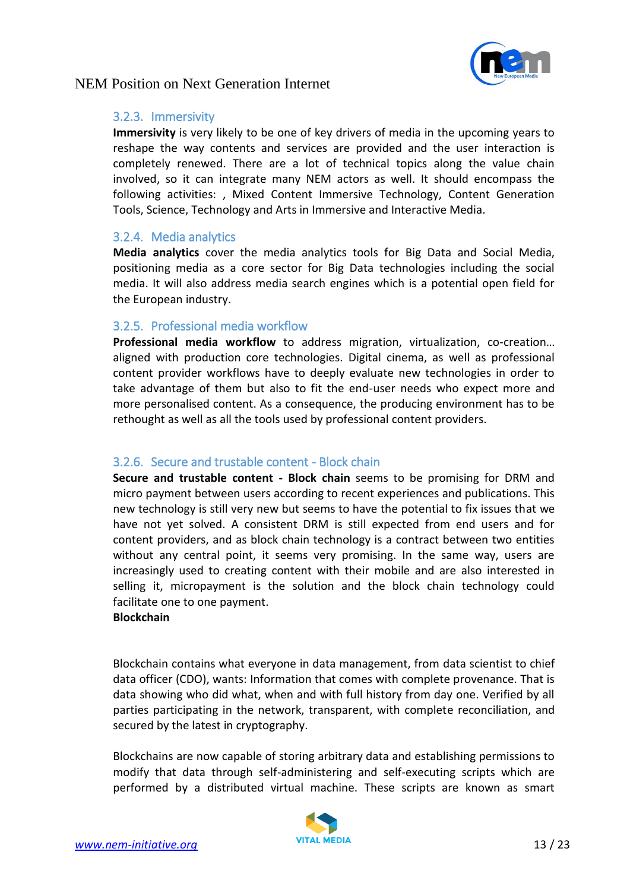

#### <span id="page-12-0"></span>3.2.3. Immersivity

**Immersivity** is very likely to be one of key drivers of media in the upcoming years to reshape the way contents and services are provided and the user interaction is completely renewed. There are a lot of technical topics along the value chain involved, so it can integrate many NEM actors as well. It should encompass the following activities: , Mixed Content Immersive Technology, Content Generation Tools, Science, Technology and Arts in Immersive and Interactive Media.

#### <span id="page-12-1"></span>3.2.4. Media analytics

**Media analytics** cover the media analytics tools for Big Data and Social Media, positioning media as a core sector for Big Data technologies including the social media. It will also address media search engines which is a potential open field for the European industry.

#### <span id="page-12-2"></span>3.2.5. Professional media workflow

**Professional media workflow** to address migration, virtualization, co-creation… aligned with production core technologies. Digital cinema, as well as professional content provider workflows have to deeply evaluate new technologies in order to take advantage of them but also to fit the end-user needs who expect more and more personalised content. As a consequence, the producing environment has to be rethought as well as all the tools used by professional content providers.

#### <span id="page-12-3"></span>3.2.6. Secure and trustable content - Block chain

**Secure and trustable content - Block chain** seems to be promising for DRM and micro payment between users according to recent experiences and publications. This new technology is still very new but seems to have the potential to fix issues that we have not yet solved. A consistent DRM is still expected from end users and for content providers, and as block chain technology is a contract between two entities without any central point, it seems very promising. In the same way, users are increasingly used to creating content with their mobile and are also interested in selling it, micropayment is the solution and the block chain technology could facilitate one to one payment.

#### **Blockchain**

Blockchain contains what everyone in data management, from data scientist to chief data officer (CDO), wants: Information that comes with complete provenance. That is data showing who did what, when and with full history from day one. Verified by all parties participating in the network, transparent, with complete reconciliation, and secured by the latest in cryptography.

Blockchains are now capable of storing arbitrary data and establishing permissions to modify that data through self-administering and self-executing scripts which are performed by a distributed virtual machine. These scripts are known as smart

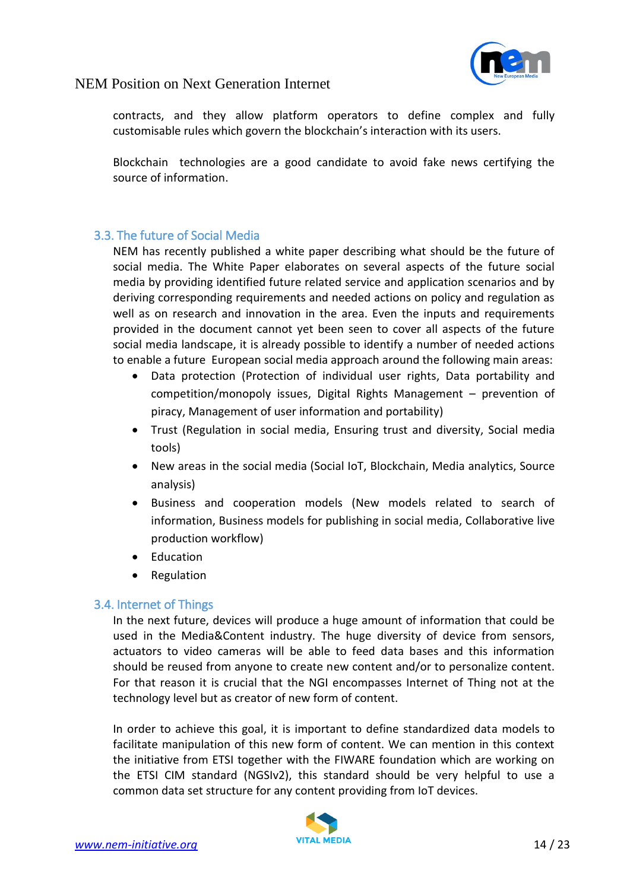

contracts, and they allow platform operators to define complex and fully customisable rules which govern the blockchain's interaction with its users.

Blockchain technologies are a good candidate to avoid fake news certifying the source of information.

### <span id="page-13-0"></span>3.3. The future of Social Media

NEM has recently published a white paper describing what should be the future of social media. The White Paper elaborates on several aspects of the future social media by providing identified future related service and application scenarios and by deriving corresponding requirements and needed actions on policy and regulation as well as on research and innovation in the area. Even the inputs and requirements provided in the document cannot yet been seen to cover all aspects of the future social media landscape, it is already possible to identify a number of needed actions to enable a future European social media approach around the following main areas:

- Data protection (Protection of individual user rights, Data portability and competition/monopoly issues, Digital Rights Management – prevention of piracy, Management of user information and portability)
- Trust (Regulation in social media, Ensuring trust and diversity, Social media tools)
- New areas in the social media (Social IoT, Blockchain, Media analytics, Source analysis)
- Business and cooperation models (New models related to search of information, Business models for publishing in social media, Collaborative live production workflow)
- Education
- Regulation

### <span id="page-13-1"></span>3.4. Internet of Things

In the next future, devices will produce a huge amount of information that could be used in the Media&Content industry. The huge diversity of device from sensors, actuators to video cameras will be able to feed data bases and this information should be reused from anyone to create new content and/or to personalize content. For that reason it is crucial that the NGI encompasses Internet of Thing not at the technology level but as creator of new form of content.

In order to achieve this goal, it is important to define standardized data models to facilitate manipulation of this new form of content. We can mention in this context the initiative from ETSI together with the FIWARE foundation which are working on the ETSI CIM standard (NGSIv2), this standard should be very helpful to use a common data set structure for any content providing from IoT devices.

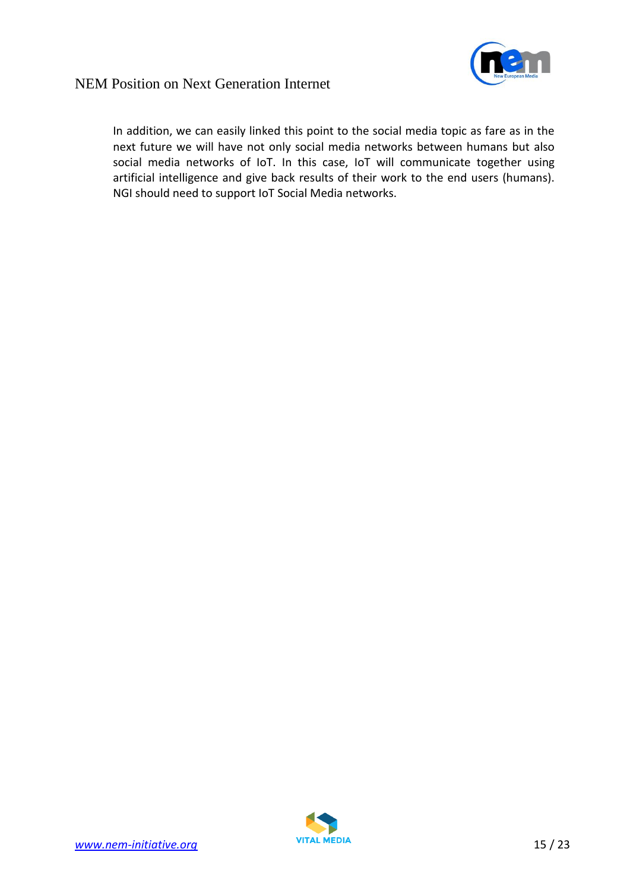

In addition, we can easily linked this point to the social media topic as fare as in the next future we will have not only social media networks between humans but also social media networks of IoT. In this case, IoT will communicate together using artificial intelligence and give back results of their work to the end users (humans). NGI should need to support IoT Social Media networks.

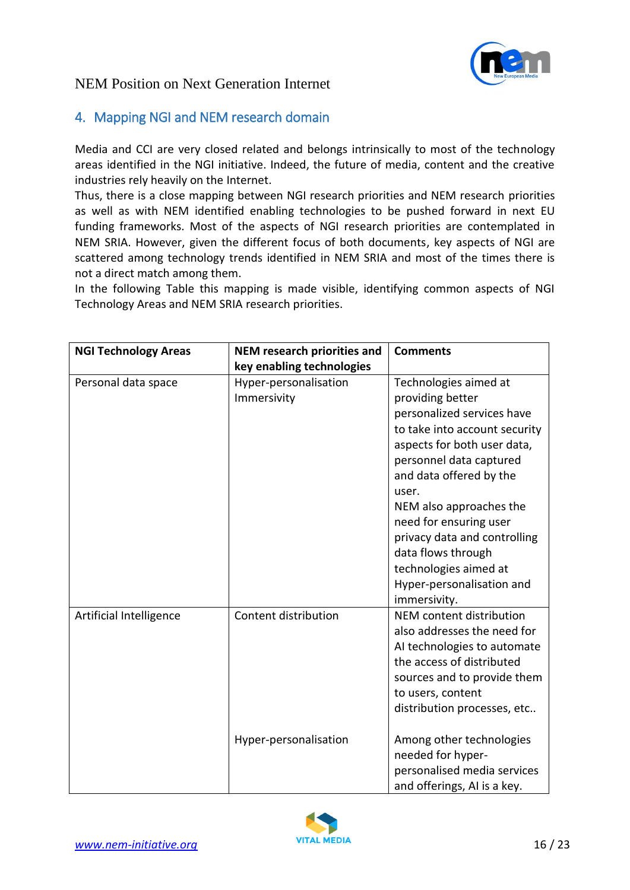

### <span id="page-15-0"></span>4. Mapping NGI and NEM research domain

Media and CCI are very closed related and belongs intrinsically to most of the technology areas identified in the NGI initiative. Indeed, the future of media, content and the creative industries rely heavily on the Internet.

Thus, there is a close mapping between NGI research priorities and NEM research priorities as well as with NEM identified enabling technologies to be pushed forward in next EU funding frameworks. Most of the aspects of NGI research priorities are contemplated in NEM SRIA. However, given the different focus of both documents, key aspects of NGI are scattered among technology trends identified in NEM SRIA and most of the times there is not a direct match among them.

In the following Table this mapping is made visible, identifying common aspects of NGI Technology Areas and NEM SRIA research priorities.

| <b>NGI Technology Areas</b> | <b>NEM research priorities and</b>            | <b>Comments</b>                                                                                                                                                                                                                                                                                                                                                                         |
|-----------------------------|-----------------------------------------------|-----------------------------------------------------------------------------------------------------------------------------------------------------------------------------------------------------------------------------------------------------------------------------------------------------------------------------------------------------------------------------------------|
|                             | key enabling technologies                     |                                                                                                                                                                                                                                                                                                                                                                                         |
| Personal data space         | Hyper-personalisation<br>Immersivity          | Technologies aimed at<br>providing better<br>personalized services have<br>to take into account security<br>aspects for both user data,<br>personnel data captured<br>and data offered by the<br>user.<br>NEM also approaches the<br>need for ensuring user<br>privacy data and controlling<br>data flows through<br>technologies aimed at<br>Hyper-personalisation and<br>immersivity. |
| Artificial Intelligence     | Content distribution<br>Hyper-personalisation | NEM content distribution<br>also addresses the need for<br>AI technologies to automate<br>the access of distributed<br>sources and to provide them<br>to users, content<br>distribution processes, etc<br>Among other technologies<br>needed for hyper-<br>personalised media services<br>and offerings, AI is a key.                                                                   |

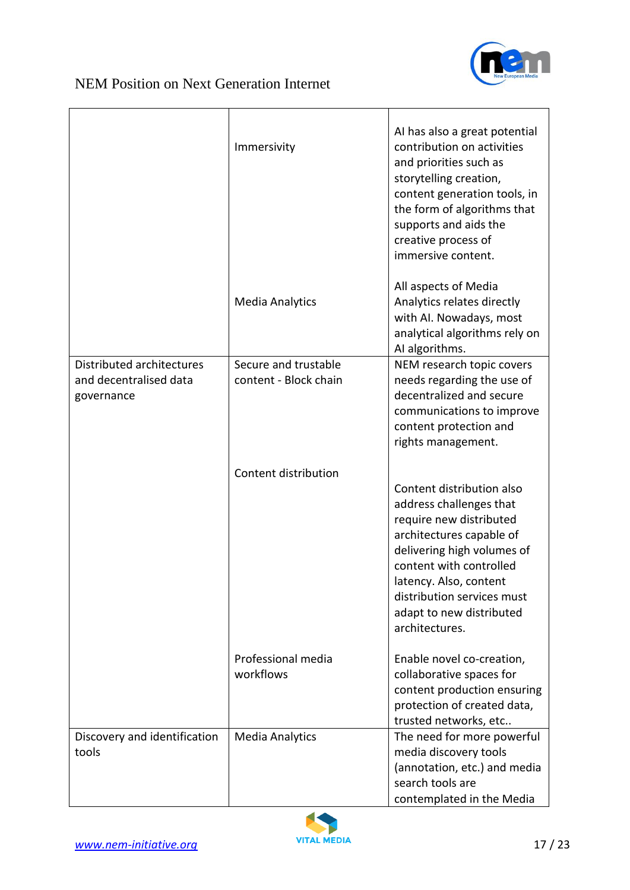

|                                                                   | Immersivity                                   | AI has also a great potential<br>contribution on activities<br>and priorities such as<br>storytelling creation,<br>content generation tools, in<br>the form of algorithms that<br>supports and aids the<br>creative process of<br>immersive content.                       |
|-------------------------------------------------------------------|-----------------------------------------------|----------------------------------------------------------------------------------------------------------------------------------------------------------------------------------------------------------------------------------------------------------------------------|
|                                                                   | <b>Media Analytics</b>                        | All aspects of Media<br>Analytics relates directly<br>with AI. Nowadays, most<br>analytical algorithms rely on<br>AI algorithms.                                                                                                                                           |
| Distributed architectures<br>and decentralised data<br>governance | Secure and trustable<br>content - Block chain | NEM research topic covers<br>needs regarding the use of<br>decentralized and secure<br>communications to improve<br>content protection and<br>rights management.                                                                                                           |
|                                                                   | Content distribution                          | Content distribution also<br>address challenges that<br>require new distributed<br>architectures capable of<br>delivering high volumes of<br>content with controlled<br>latency. Also, content<br>distribution services must<br>adapt to new distributed<br>architectures. |
|                                                                   | Professional media<br>workflows               | Enable novel co-creation,<br>collaborative spaces for<br>content production ensuring<br>protection of created data,<br>trusted networks, etc                                                                                                                               |
| Discovery and identification<br>tools                             | <b>Media Analytics</b>                        | The need for more powerful<br>media discovery tools<br>(annotation, etc.) and media<br>search tools are<br>contemplated in the Media                                                                                                                                       |

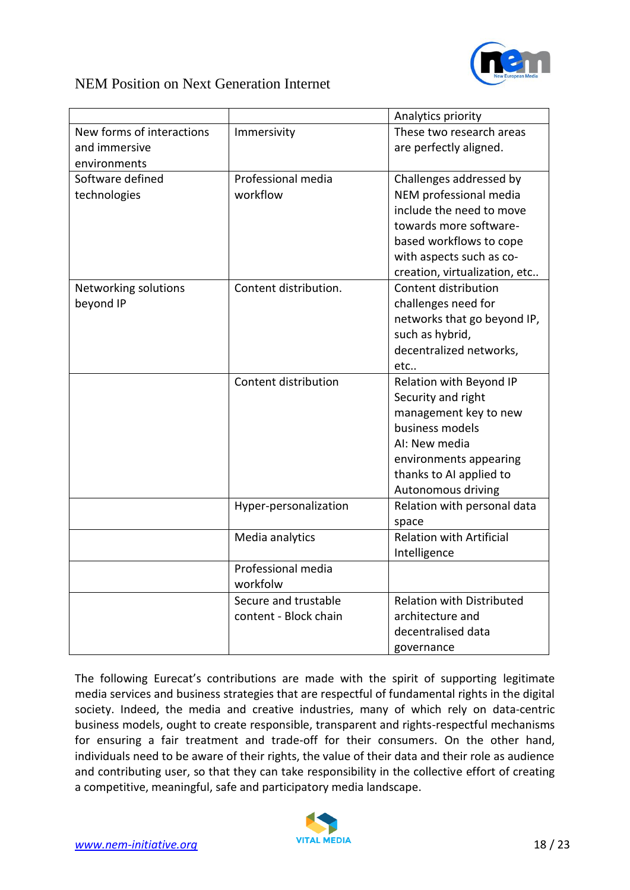

|                           |                       | Analytics priority               |
|---------------------------|-----------------------|----------------------------------|
| New forms of interactions | Immersivity           | These two research areas         |
| and immersive             |                       | are perfectly aligned.           |
| environments              |                       |                                  |
| Software defined          | Professional media    | Challenges addressed by          |
| technologies              | workflow              | NEM professional media           |
|                           |                       | include the need to move         |
|                           |                       | towards more software-           |
|                           |                       | based workflows to cope          |
|                           |                       | with aspects such as co-         |
|                           |                       | creation, virtualization, etc    |
| Networking solutions      | Content distribution. | Content distribution             |
| beyond IP                 |                       | challenges need for              |
|                           |                       | networks that go beyond IP,      |
|                           |                       | such as hybrid,                  |
|                           |                       | decentralized networks,          |
|                           |                       | etc                              |
|                           | Content distribution  | Relation with Beyond IP          |
|                           |                       | Security and right               |
|                           |                       | management key to new            |
|                           |                       | business models                  |
|                           |                       | AI: New media                    |
|                           |                       | environments appearing           |
|                           |                       | thanks to AI applied to          |
|                           |                       | Autonomous driving               |
|                           | Hyper-personalization | Relation with personal data      |
|                           |                       | space                            |
|                           | Media analytics       | <b>Relation with Artificial</b>  |
|                           |                       | Intelligence                     |
|                           | Professional media    |                                  |
|                           | workfolw              |                                  |
|                           | Secure and trustable  | <b>Relation with Distributed</b> |
|                           | content - Block chain | architecture and                 |
|                           |                       | decentralised data               |
|                           |                       | governance                       |

The following Eurecat's contributions are made with the spirit of supporting legitimate media services and business strategies that are respectful of fundamental rights in the digital society. Indeed, the media and creative industries, many of which rely on data-centric business models, ought to create responsible, transparent and rights-respectful mechanisms for ensuring a fair treatment and trade-off for their consumers. On the other hand, individuals need to be aware of their rights, the value of their data and their role as audience and contributing user, so that they can take responsibility in the collective effort of creating a competitive, meaningful, safe and participatory media landscape.

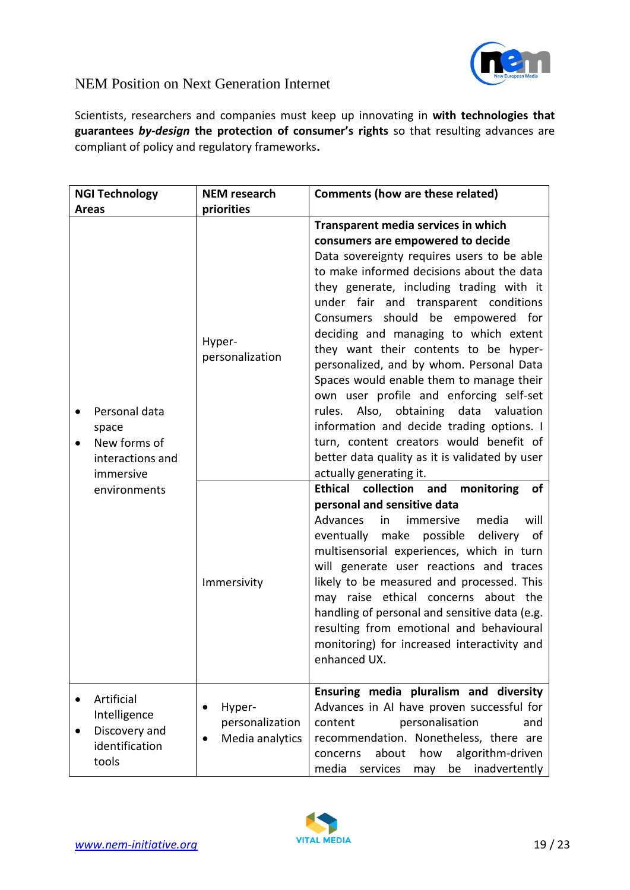

Scientists, researchers and companies must keep up innovating in **with technologies that guarantees** *by-design* **the protection of consumer's rights** so that resulting advances are compliant of policy and regulatory frameworks**.**

| <b>NGI Technology</b>                                                                | <b>NEM</b> research                          | <b>Comments (how are these related)</b>                                                                                                                                                                                                                                                                                                                                                                                                                                                                                                                                                                                                                                                                                                   |
|--------------------------------------------------------------------------------------|----------------------------------------------|-------------------------------------------------------------------------------------------------------------------------------------------------------------------------------------------------------------------------------------------------------------------------------------------------------------------------------------------------------------------------------------------------------------------------------------------------------------------------------------------------------------------------------------------------------------------------------------------------------------------------------------------------------------------------------------------------------------------------------------------|
| Areas                                                                                | priorities                                   |                                                                                                                                                                                                                                                                                                                                                                                                                                                                                                                                                                                                                                                                                                                                           |
| Personal data<br>space<br>New forms of<br>$\bullet$<br>interactions and<br>immersive | Hyper-<br>personalization                    | Transparent media services in which<br>consumers are empowered to decide<br>Data sovereignty requires users to be able<br>to make informed decisions about the data<br>they generate, including trading with it<br>under fair and transparent conditions<br>Consumers should be empowered for<br>deciding and managing to which extent<br>they want their contents to be hyper-<br>personalized, and by whom. Personal Data<br>Spaces would enable them to manage their<br>own user profile and enforcing self-set<br>Also,<br>obtaining<br>data valuation<br>rules.<br>information and decide trading options. I<br>turn, content creators would benefit of<br>better data quality as it is validated by user<br>actually generating it. |
| environments                                                                         | Immersivity                                  | Ethical collection and<br>monitoring<br>оf<br>personal and sensitive data<br>Advances<br>immersive<br>media<br>in<br>will<br>eventually make possible delivery of<br>multisensorial experiences, which in turn<br>will generate user reactions and traces<br>likely to be measured and processed. This<br>may raise ethical concerns about the<br>handling of personal and sensitive data (e.g.<br>resulting from emotional and behavioural<br>monitoring) for increased interactivity and<br>enhanced UX.                                                                                                                                                                                                                                |
| Artificial<br>Intelligence<br>Discovery and<br>identification<br>tools               | Hyper-<br>personalization<br>Media analytics | Ensuring media pluralism and diversity<br>Advances in AI have proven successful for<br>personalisation<br>content<br>and<br>recommendation. Nonetheless, there are<br>algorithm-driven<br>about<br>how<br>concerns<br>be inadvertently<br>media<br>services<br>may                                                                                                                                                                                                                                                                                                                                                                                                                                                                        |

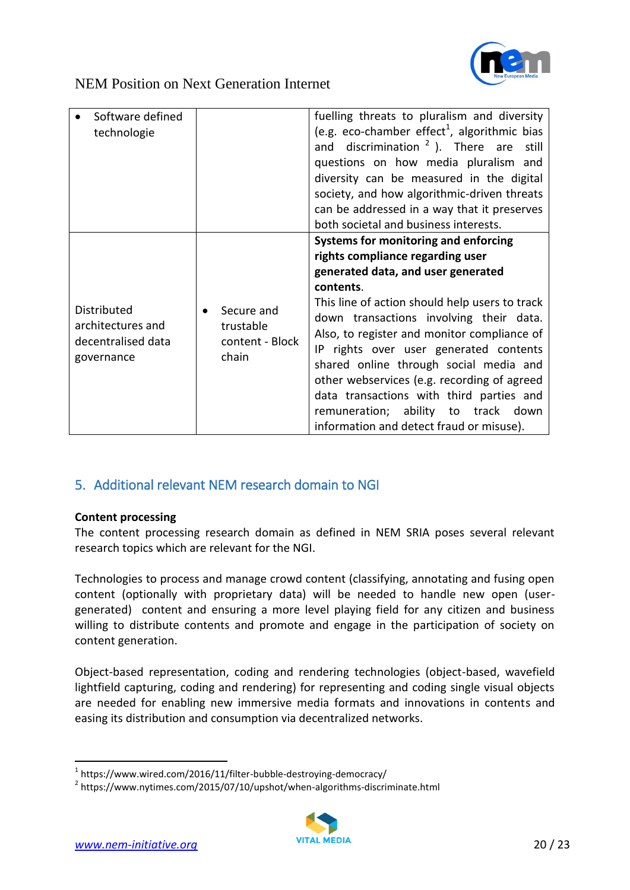

| Software defined<br>technologie                                             |                                                     | fuelling threats to pluralism and diversity<br>(e.g. eco-chamber effect <sup>1</sup> , algorithmic bias<br>and discrimination $2$ ). There are<br>still<br>questions on how media pluralism and<br>diversity can be measured in the digital<br>society, and how algorithmic-driven threats<br>can be addressed in a way that it preserves<br>both societal and business interests.                                                                                                                                                        |
|-----------------------------------------------------------------------------|-----------------------------------------------------|-------------------------------------------------------------------------------------------------------------------------------------------------------------------------------------------------------------------------------------------------------------------------------------------------------------------------------------------------------------------------------------------------------------------------------------------------------------------------------------------------------------------------------------------|
| <b>Distributed</b><br>architectures and<br>decentralised data<br>governance | Secure and<br>trustable<br>content - Block<br>chain | Systems for monitoring and enforcing<br>rights compliance regarding user<br>generated data, and user generated<br>contents.<br>This line of action should help users to track<br>down transactions involving their data.<br>Also, to register and monitor compliance of<br>IP rights over user generated contents<br>shared online through social media and<br>other webservices (e.g. recording of agreed<br>data transactions with third parties and<br>remuneration; ability to track down<br>information and detect fraud or misuse). |

### <span id="page-19-0"></span>5. Additional relevant NEM research domain to NGI

#### **Content processing**

The content processing research domain as defined in NEM SRIA poses several relevant research topics which are relevant for the NGI.

Technologies to process and manage crowd content (classifying, annotating and fusing open content (optionally with proprietary data) will be needed to handle new open (usergenerated) content and ensuring a more level playing field for any citizen and business willing to distribute contents and promote and engage in the participation of society on content generation.

Object-based representation, coding and rendering technologies (object-based, wavefield lightfield capturing, coding and rendering) for representing and coding single visual objects are needed for enabling new immersive media formats and innovations in contents and easing its distribution and consumption via decentralized networks.

<sup>&</sup>lt;sup>2</sup> https://www.nytimes.com/2015/07/10/upshot/when-algorithms-discriminate.html



.

<sup>&</sup>lt;sup>1</sup> https://www.wired.com/2016/11/filter-bubble-destroying-democracy/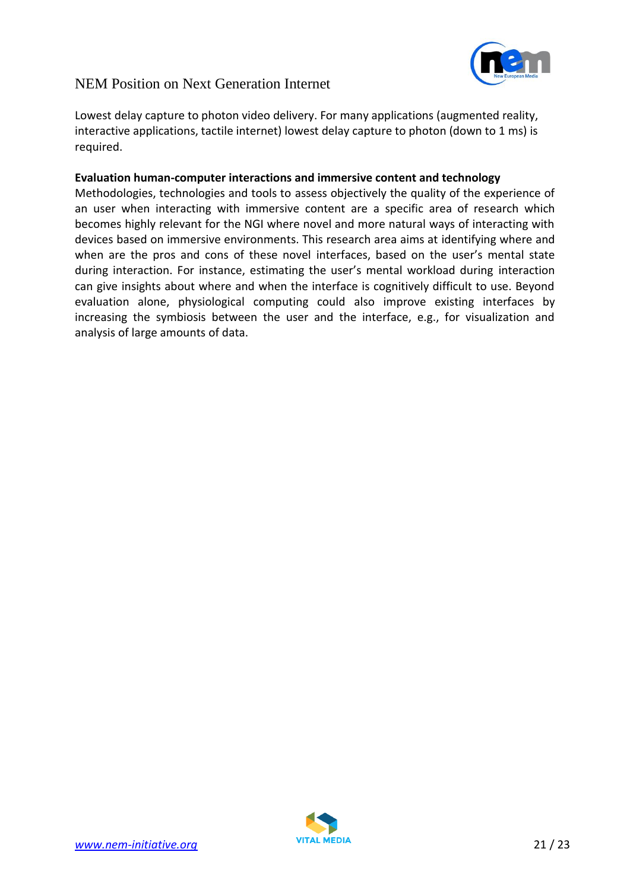

Lowest delay capture to photon video delivery. For many applications (augmented reality, interactive applications, tactile internet) lowest delay capture to photon (down to 1 ms) is required.

#### **Evaluation human-computer interactions and immersive content and technology**

Methodologies, technologies and tools to assess objectively the quality of the experience of an user when interacting with immersive content are a specific area of research which becomes highly relevant for the NGI where novel and more natural ways of interacting with devices based on immersive environments. This research area aims at identifying where and when are the pros and cons of these novel interfaces, based on the user's mental state during interaction. For instance, estimating the user's mental workload during interaction can give insights about where and when the interface is cognitively difficult to use. Beyond evaluation alone, physiological computing could also improve existing interfaces by increasing the symbiosis between the user and the interface, e.g., for visualization and analysis of large amounts of data.

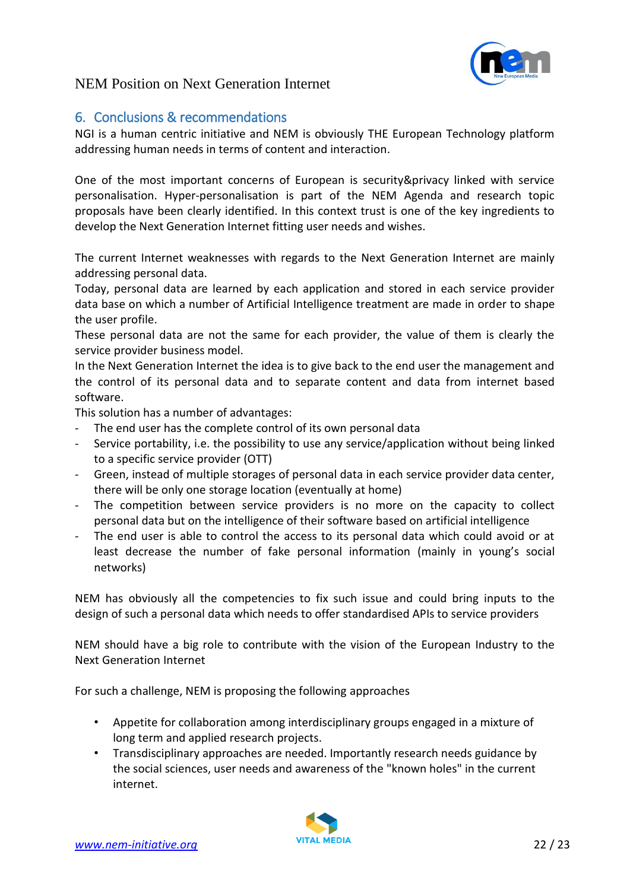

### <span id="page-21-0"></span>6. Conclusions & recommendations

NGI is a human centric initiative and NEM is obviously THE European Technology platform addressing human needs in terms of content and interaction.

One of the most important concerns of European is security&privacy linked with service personalisation. Hyper-personalisation is part of the NEM Agenda and research topic proposals have been clearly identified. In this context trust is one of the key ingredients to develop the Next Generation Internet fitting user needs and wishes.

The current Internet weaknesses with regards to the Next Generation Internet are mainly addressing personal data.

Today, personal data are learned by each application and stored in each service provider data base on which a number of Artificial Intelligence treatment are made in order to shape the user profile.

These personal data are not the same for each provider, the value of them is clearly the service provider business model.

In the Next Generation Internet the idea is to give back to the end user the management and the control of its personal data and to separate content and data from internet based software.

This solution has a number of advantages:

- The end user has the complete control of its own personal data
- Service portability, i.e. the possibility to use any service/application without being linked to a specific service provider (OTT)
- Green, instead of multiple storages of personal data in each service provider data center, there will be only one storage location (eventually at home)
- The competition between service providers is no more on the capacity to collect personal data but on the intelligence of their software based on artificial intelligence
- The end user is able to control the access to its personal data which could avoid or at least decrease the number of fake personal information (mainly in young's social networks)

NEM has obviously all the competencies to fix such issue and could bring inputs to the design of such a personal data which needs to offer standardised APIs to service providers

NEM should have a big role to contribute with the vision of the European Industry to the Next Generation Internet

For such a challenge, NEM is proposing the following approaches

- Appetite for collaboration among interdisciplinary groups engaged in a mixture of long term and applied research projects.
- Transdisciplinary approaches are needed. Importantly research needs guidance by the social sciences, user needs and awareness of the "known holes" in the current internet.